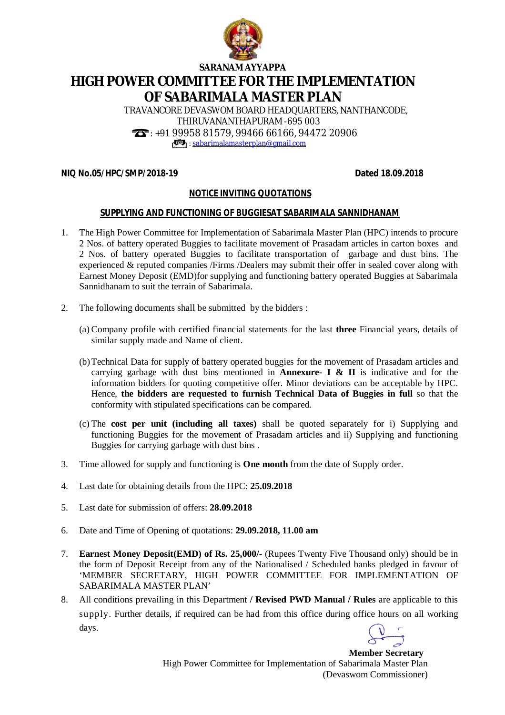

**SARANAM AYYAPPA**

# **HIGH POWER COMMITTEE FOR THE IMPLEMENTATION OF SABARIMALA MASTER PLAN**

TRAVANCORE DEVASWOM BOARD HEADQUARTERS, NANTHANCODE, THIRUVANANTHAPURAM -695 003 : +91 99958 81579, 99466 66166, 94472 20906 : [sabarimalamasterplan@gmail.com](mailto:sabarimalamasterplan@gmail.com)

## **NIQ No.05/HPC/SMP/2018-19 Dated 18.09.2018**

## **NOTICE INVITING QUOTATIONS**

#### **SUPPLYING AND FUNCTIONING OF BUGGIESAT SABARIMALA SANNIDHANAM**

- 1. The High Power Committee for Implementation of Sabarimala Master Plan (HPC) intends to procure 2 Nos. of battery operated Buggies to facilitate movement of Prasadam articles in carton boxes and 2 Nos. of battery operated Buggies to facilitate transportation of garbage and dust bins. The experienced & reputed companies /Firms /Dealers may submit their offer in sealed cover along with Earnest Money Deposit (EMD)for supplying and functioning battery operated Buggies at Sabarimala Sannidhanam to suit the terrain of Sabarimala.
- 2. The following documents shall be submitted by the bidders :
	- (a) Company profile with certified financial statements for the last **three** Financial years, details of similar supply made and Name of client.
	- (b)Technical Data for supply of battery operated buggies for the movement of Prasadam articles and carrying garbage with dust bins mentioned in **Annexure- I & II** is indicative and for the information bidders for quoting competitive offer. Minor deviations can be acceptable by HPC. Hence, **the bidders are requested to furnish Technical Data of Buggies in full** so that the conformity with stipulated specifications can be compared.
	- (c) The **cost per unit (including all taxes)** shall be quoted separately for i) Supplying and functioning Buggies for the movement of Prasadam articles and ii) Supplying and functioning Buggies for carrying garbage with dust bins .
- 3. Time allowed for supply and functioning is **One month** from the date of Supply order.
- 4. Last date for obtaining details from the HPC: **25.09.2018**
- 5. Last date for submission of offers: **28.09.2018**
- 6. Date and Time of Opening of quotations: **29.09.2018, 11.00 am**
- 7. **Earnest Money Deposit(EMD) of Rs. 25,000/-** (Rupees Twenty Five Thousand only) should be in the form of Deposit Receipt from any of the Nationalised / Scheduled banks pledged in favour of 'MEMBER SECRETARY, HIGH POWER COMMITTEE FOR IMPLEMENTATION OF SABARIMALA MASTER PLAN'
- 8. All conditions prevailing in this Department **/ Revised PWD Manual / Rules** are applicable to this supply. Further details, if required can be had from this office during office hours on all working days.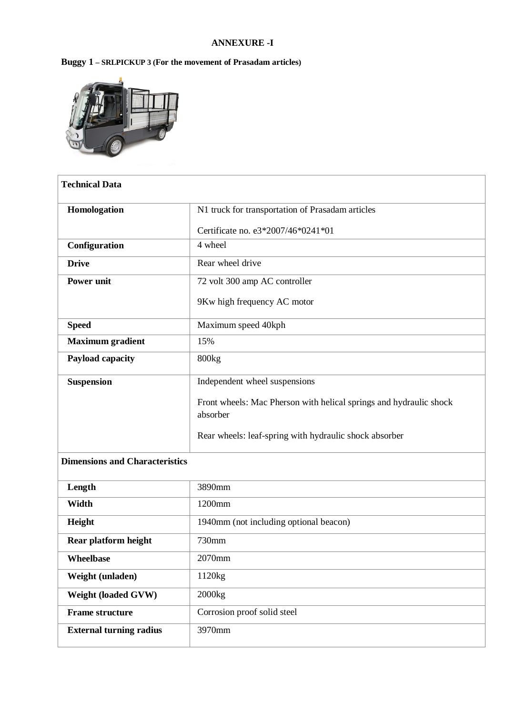## **ANNEXURE -I**

## **Buggy 1 – SRLPICKUP 3 (For the movement of Prasadam articles)**



| <b>Technical Data</b>   |                                                                                |
|-------------------------|--------------------------------------------------------------------------------|
| Homologation            | N1 truck for transportation of Prasadam articles                               |
|                         | Certificate no. e3*2007/46*0241*01                                             |
| Configuration           | 4 wheel                                                                        |
| <b>Drive</b>            | Rear wheel drive                                                               |
| <b>Power unit</b>       | 72 volt 300 amp AC controller                                                  |
|                         | 9Kw high frequency AC motor                                                    |
| <b>Speed</b>            | Maximum speed 40kph                                                            |
| <b>Maximum</b> gradient | 15%                                                                            |
| Payload capacity        | 800kg                                                                          |
| <b>Suspension</b>       | Independent wheel suspensions                                                  |
|                         | Front wheels: Mac Pherson with helical springs and hydraulic shock<br>absorber |
|                         | Rear wheels: leaf-spring with hydraulic shock absorber                         |

## **Dimensions and Characteristics**

| Length                         | 3890mm                                 |
|--------------------------------|----------------------------------------|
| Width                          | 1200mm                                 |
| Height                         | 1940mm (not including optional beacon) |
| Rear platform height           | 730mm                                  |
| <b>Wheelbase</b>               | 2070mm                                 |
| Weight (unladen)               | 1120kg                                 |
| <b>Weight (loaded GVW)</b>     | 2000kg                                 |
| <b>Frame structure</b>         | Corrosion proof solid steel            |
| <b>External turning radius</b> | 3970mm                                 |